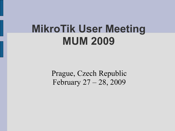#### **MikroTik User Meeting MUM 2009**

Prague, Czech Republic February 27 – 28, 2009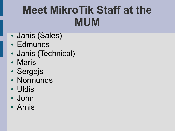## **Meet MikroTik Staff at the MUM**

- Jānis (Sales)
- Edmunds
- Jānis (Technical)
- Māris
- Sergejs
- Normunds
- Uldis
- John
- Arnis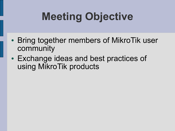# **Meeting Objective**

- Bring together members of MikroTik user community
- Exchange ideas and best practices of using MikroTik products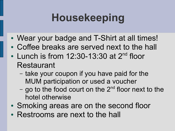# **Housekeeping**

- Wear your badge and T-Shirt at all times!
- Coffee breaks are served next to the hall
- Lunch is from 12:30-13:30 at 2<sup>nd</sup> floor Restaurant
	- take your coupon if you have paid for the MUM participation or used a voucher
	- go to the food court on the 2<sup>nd</sup> floor next to the hotel otherwise
- Smoking areas are on the second floor
- Restrooms are next to the hall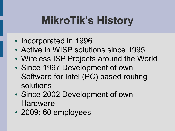# **MikroTik's History**

- Incorporated in 1996
- Active in WISP solutions since 1995
- Wireless ISP Projects around the World
- Since 1997 Development of own Software for Intel (PC) based routing solutions
- Since 2002 Development of own **Hardware**
- 2009: 60 employees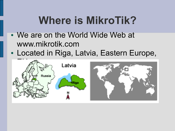### **Where is MikroTik?**

- We are on the World Wide Web at www.mikrotik.com
- Located in Riga, Latvia, Eastern Europe,